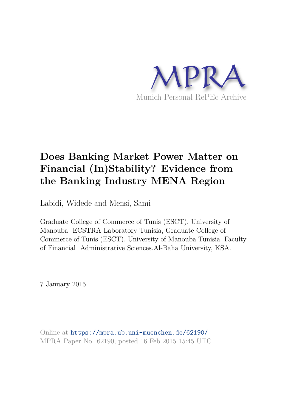

# **Does Banking Market Power Matter on Financial (In)Stability? Evidence from the Banking Industry MENA Region**

Labidi, Widede and Mensi, Sami

Graduate College of Commerce of Tunis (ESCT). University of Manouba ECSTRA Laboratory Tunisia, Graduate College of Commerce of Tunis (ESCT). University of Manouba Tunisia Faculty of Financial Administrative Sciences.Al-Baha University, KSA.

7 January 2015

Online at https://mpra.ub.uni-muenchen.de/62190/ MPRA Paper No. 62190, posted 16 Feb 2015 15:45 UTC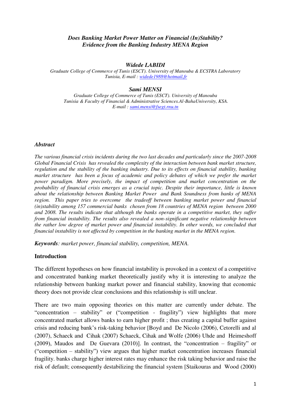#### *Does Banking Market Power Matter on Financial (In)Stability? Evidence from the Banking Industry MENA Region*

#### *Widede LABIDI*

*Graduate College of Commerce of Tunis (ESCT). University of Manouba & ECSTRA Laboratory Tunisia, E-mail : widede1988@hotmail.fr*

#### *Sami MENSI*

*Graduate College of Commerce of Tunis (ESCT). University of Manouba Tunisia & Faculty of Financial & Administrative Sciences.Al-BahaUniversity, KSA. E-mail [: sami.mensi@fsegt.rnu.tn](mailto:sami.mensi@fsegt.rnu.tn)*

#### *Abstract*

*The various financial crisis incidents during the two last decades and particularly since the 2007-2008 Global Financial Crisis has revealed the complexity of the interaction between bank market structure, regulation and the stability of the banking industry. Due to its effects on financial stability, banking market structure has been a focus of academic and policy debates of which we prefer the market power paradigm. More precisely, the impact of competition and market concentration on the probability of financial crisis emerges as a crucial topic. Despite their importance, little is known about the relationship between Banking Market Power and Bank Soundness from banks of MENA region. This paper tries to overcome the tradeoff between banking market power and financial (in)stability among 157 commercial banks chosen from 18 countries of MENA region between 2000 and 2008. The results indicate that although the banks operate in a competitive market, they suffer from financial instability. The results also revealed a non-significant negative relationship between the rather low degree of market power and financial instability. In other words, we concluded that financial instability is not affected by competition in the banking market in the MENA region.* 

*Keywords: market power, financial stability, competition, MENA.* 

#### **Introduction**

The different hypotheses on how financial instability is provoked in a context of a competitive and concentrated banking market theoretically justify why it is interesting to analyze the relationship between banking market power and financial stability, knowing that economic theory does not provide clear conclusions and this relationship is still unclear.

There are two main opposing theories on this matter are currently under debate. The "concentration – stability" or ("competition - fragility") view highlights that more concentrated market allows banks to earn higher profit ; thus creating a capital buffer against crisis and reducing bank's risk-taking behavior [Boyd and De Nicolo (2006), Cetorelli and al (2007), Schaeck and Cihak (2007) Schaeck, Cihak and Wolfe (2006) Uhde and Heimeshoff (2009), Maudos and De Guevara (2010)]. In contrast, the "concentration – fragility" or ("competition – stability") view argues that higher market concentration increases financial fragility. banks charge higher interest rates may enhance the risk taking behavior and raise the risk of default; consequently destabilizing the financial system [Staikouras and Wood (2000)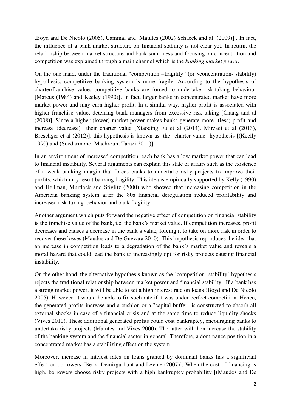,Boyd and De Nicolo (2005), Caminal and Matutes (2002) Schaeck and al (2009)] . In fact, the influence of a bank market structure on financial stability is not clear yet. In return, the relationship between market structure and bank soundness and focusing on concentration and competition was explained through a main channel which is the *banking market power***.** 

On the one hand, under the traditional "competition –fragility" (or «concentration- stability) hypothesis; competitive banking system is more fragile. According to the hypothesis of charter/franchise value, competitive banks are forced to undertake risk-taking behaviour [Marcus (1984) and Keeley (1990)]. In fact, larger banks in concentrated market have more market power and may earn higher profit. In a similar way, higher profit is associated with higher franchise value, deterring bank managers from excessive risk-taking [Chang and al (2008)]. Since a higher (lower) market power makes banks generate more (less) profit and increase (decrease) their charter value [Xiaoqing Fu et al (2014), Mirzaei et al (2013), Breschger et al (2012)], this hypothesis is known as the "charter value" hypothesis [(Keelly 1990) and (Soedarmono, Machrouh, Tarazi 2011)].

In an environment of increased competition, each bank has a low market power that can lead to financial instability. Several arguments can explain this state of affairs such as the existence of a weak banking margin that forces banks to undertake risky projects to improve their profits, which may result banking fragility. This idea is empirically supported by Kelly (1990) and Hellman, Murdock and Stiglitz (2000) who showed that increasing competition in the American banking system after the 80s financial deregulation reduced profitability and increased risk-taking behavior and bank fragility.

Another argument which puts forward the negative effect of competition on financial stability is the franchise value of the bank, i.e. the bank's market value. If competition increases, profit decreases and causes a decrease in the bank's value, forcing it to take on more risk in order to recover these losses (Maudos and De Guevara 2010). This hypothesis reproduces the idea that an increase in competition leads to a degradation of the bank's market value and reveals a moral hazard that could lead the bank to increasingly opt for risky projects causing financial instability.

On the other hand, the alternative hypothesis known as the "competition -stability" hypothesis rejects the traditional relationship between market power and financial stability. If a bank has a strong market power, it will be able to set a high interest rate on loans (Boyd and De Nicolo 2005). However, it would be able to fix such rate if it was under perfect competition. Hence, the generated profits increase and a cushion or a "capital buffer" is constructed to absorb all external shocks in case of a financial crisis and at the same time to reduce liquidity shocks (Vives 2010). These additional generated profits could cost bankruptcy, encouraging banks to undertake risky projects (Matutes and Vives 2000). The latter will then increase the stability of the banking system and the financial sector in general. Therefore, a dominance position in a concentrated market has a stabilizing effect on the system.

Moreover, increase in interest rates on loans granted by dominant banks has a significant effect on borrowers [Beck, Demirgu-kunt and Levine (2007)]. When the cost of financing is high, borrowers choose risky projects with a high bankruptcy probability [(Maudos and De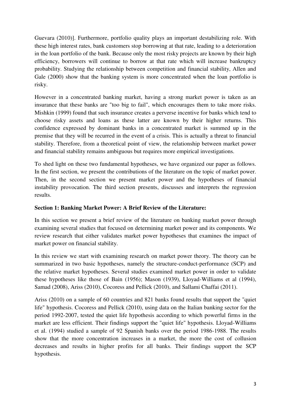Guevara (2010)]. Furthermore, portfolio quality plays an important destabilizing role. With these high interest rates, bank customers stop borrowing at that rate, leading to a deterioration in the loan portfolio of the bank. Because only the most risky projects are known by their high efficiency, borrowers will continue to borrow at that rate which will increase bankruptcy probability. Studying the relationship between competition and financial stability, Allen and Gale (2000) show that the banking system is more concentrated when the loan portfolio is risky.

However in a concentrated banking market, having a strong market power is taken as an insurance that these banks are "too big to fail", which encourages them to take more risks. Mishkin (1999) found that such insurance creates a perverse incentive for banks which tend to choose risky assets and loans as these latter are known by their higher returns. This confidence expressed by dominant banks in a concentrated market is summed up in the premise that they will be recurred in the event of a crisis. This is actually a threat to financial stability. Therefore, from a theoretical point of view, the relationship between market power and financial stability remains ambiguous but requires more empirical investigations.

To shed light on these two fundamental hypotheses, we have organized our paper as follows. In the first section, we present the contributions of the literature on the topic of market power. Then, in the second section we present market power and the hypotheses of financial instability provocation. The third section presents, discusses and interprets the regression results.

## **Section 1: Banking Market Power: A Brief Review of the Literature:**

In this section we present a brief review of the literature on banking market power through examining several studies that focused on determining market power and its components. We review research that either validates market power hypotheses that examines the impact of market power on financial stability.

In this review we start with examining research on market power theory. The theory can be summarized in two basic hypotheses, namely the structure-conduct-performance (SCP) and the relative market hypotheses. Several studies examined market power in order to validate these hypotheses like those of Bain (1956); Mason (1939), Lloyad-Williams et al (1994), Samad (2008), Ariss (2010), Cocoress and Pellick (2010), and Sallami Chaffai (2011).

Ariss (2010) on a sample of 60 countries and 821 banks found results that support the "quiet life" hypothesis. Cocoress and Pellick (2010), using data on the Italian banking sector for the period 1992-2007, tested the quiet life hypothesis according to which powerful firms in the market are less efficient. Their findings support the "quiet life" hypothesis. Lloyad-Williams et al. (1994) studied a sample of 92 Spanish banks over the period 1986-1988. The results show that the more concentration increases in a market, the more the cost of collusion decreases and results in higher profits for all banks. Their findings support the SCP hypothesis.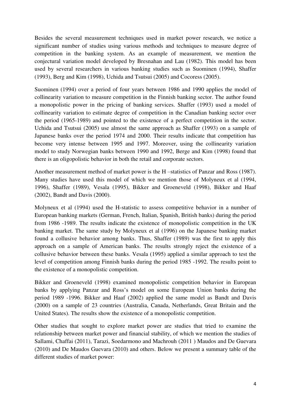Besides the several measurement techniques used in market power research, we notice a significant number of studies using various methods and techniques to measure degree of competition in the banking system. As an example of measurement, we mention the conjectural variation model developed by Bresnahan and Lau (1982). This model has been used by several researchers in various banking studies such as Suominen (1994), Shaffer (1993), Berg and Kim (1998), Uchida and Tsutsui (2005) and Cocoress (2005).

Suominen (1994) over a period of four years between 1986 and 1990 applies the model of collinearity variation to measure competition in the Finnish banking sector. The author found a monopolistic power in the pricing of banking services. Shaffer (1993) used a model of collinearity variation to estimate degree of competition in the Canadian banking sector over the period (1965-1989) and pointed to the existence of a perfect competition in the sector. Uchida and Tsutsui (2005) use almost the same approach as Shaffer (1993) on a sample of Japanese banks over the period 1974 and 2000. Their results indicate that competition has become very intense between 1995 and 1997. Moreover, using the collinearity variation model to study Norwegian banks between 1990 and 1992, Berge and Kim (1998) found that there is an oligopolistic behavior in both the retail and corporate sectors.

Another measurement method of market power is the H –statistics of Panzar and Ross (1987). Many studies have used this model of which we mention those of Molyneux et al (1994, 1996), Shaffer (1989), Vesala (1995), Bikker and Groeneveld (1998), Bikker and Haaf (2002), Bandt and Davis (2000).

Molyneux et al (1994) used the H-statistic to assess competitive behavior in a number of European banking markets (German, French, Italian, Spanish, British banks) during the period from 1986 -1989. The results indicate the existence of monopolistic competition in the UK banking market. The same study by Molyneux et al (1996) on the Japanese banking market found a collusive behavior among banks. Thus, Shaffer (1989) was the first to apply this approach on a sample of American banks. The results strongly reject the existence of a collusive behavior between these banks. Vesala (1995) applied a similar approach to test the level of competition among Finnish banks during the period 1985 -1992. The results point to the existence of a monopolistic competition.

Bikker and Groeneveld (1998) examined monopolistic competition behavior in European banks by applying Panzar and Ross's model on some European Union banks during the period 1989 -1996. Bikker and Haaf (2002) applied the same model as Bandt and Davis (2000) on a sample of 23 countries (Australia, Canada, Netherlands, Great Britain and the United States). The results show the existence of a monopolistic competition.

Other studies that sought to explore market power are studies that tried to examine the relationship between market power and financial stability, of which we mention the studies of Sallami, Chaffai (2011), Tarazi, Soedarmono and Machrouh (2011 ) Maudos and De Guevara (2010) and De Maudos Guevara (2010) and others. Below we present a summary table of the different studies of market power: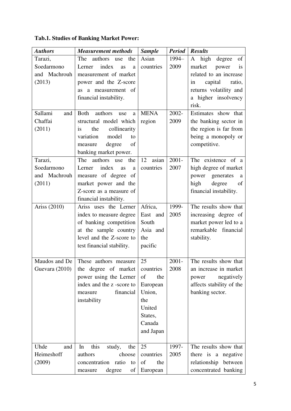|  | <b>Tab.1. Studies of Banking Market Power:</b> |  |
|--|------------------------------------------------|--|
|  |                                                |  |

| <b>Authors</b> | <b>Measurement methods</b>         | <b>Sample</b> | <b>Period</b> | <b>Results</b>               |
|----------------|------------------------------------|---------------|---------------|------------------------------|
| Tarazi,        | The<br>authors use<br>the          | Asian         | 1994-         | high degree<br>of<br>A       |
| Soedarmono     | index<br>Lerner<br><b>as</b><br>a  | countries     | 2009          | market<br>power<br><i>is</i> |
| and Machrouh   | measurement of market              |               |               | related to an increase       |
| (2013)         | power and the Z-score              |               |               | capital<br>ratio,<br>in      |
|                | a measurement of<br><b>as</b>      |               |               | returns volatility and       |
|                | financial instability.             |               |               | a higher insolvency          |
|                |                                    |               |               | risk.                        |
| Sallami<br>and | <b>Both</b><br>authors<br>use<br>a | <b>MENA</b>   | 2002-         | Estimates show that          |
| Chaffai        | structural model which             | region        | 2009          | the banking sector in        |
| (2011)         | the<br>collinearity<br>is          |               |               | the region is far from       |
|                | variation<br>model<br>to           |               |               | being a monopoly or          |
|                | degree<br>of<br>measure            |               |               | competitive.                 |
|                | banking market power.              |               |               |                              |
| Tarazi,        | The<br>authors use<br>the          | 12<br>asian   | $2001 -$      | The existence of a           |
| Soedarmono     | index<br>Lerner<br>as<br>a         | countries     | 2007          | high degree of market        |
| and Machrouh   | measure of degree of               |               |               | generates<br>power<br>a      |
| (2011)         | market power and the               |               |               | high<br>degree<br>of         |
|                | Z-score as a measure of            |               |               | financial instability.       |
|                | financial instability.             |               |               |                              |
| Ariss (2010)   | Ariss uses the Lerner              | Africa,       | 1999-         | The results show that        |
|                | index to measure degree            | East and      | 2005          | increasing degree of         |
|                | of banking competition             | South         |               | market power led to a        |
|                | at the sample country              | Asia and      |               | remarkable financial         |
|                | level and the Z-score to           | the           |               | stability.                   |
|                | test financial stability.          | pacific       |               |                              |
|                |                                    |               |               |                              |
| Maudos and De  | These authors measure              | 25            | $2001 -$      | The results show that        |
| Guevara (2010) | the degree of market               | countries     | 2008          | an increase in market        |
|                | power using the Lerner             | of<br>the     |               | negatively<br>power          |
|                | index and the z -score to          | European      |               | affects stability of the     |
|                | financial<br>measure               | Union,        |               | banking sector.              |
|                | instability                        | the           |               |                              |
|                |                                    | United        |               |                              |
|                |                                    | States,       |               |                              |
|                |                                    | Canada        |               |                              |
|                |                                    | and Japan     |               |                              |
|                |                                    |               |               |                              |
| Uhde<br>and    | this<br>study,<br>the<br>In        | 25            | 1997-         | The results show that        |
| Heimeshoff     | authors<br>choose                  | countries     | 2005          | there is a negative          |
| (2009)         | concentration ratio<br>to          | of<br>the     |               | relationship between         |
|                | degree<br>οf<br>measure            | European      |               | concentrated banking         |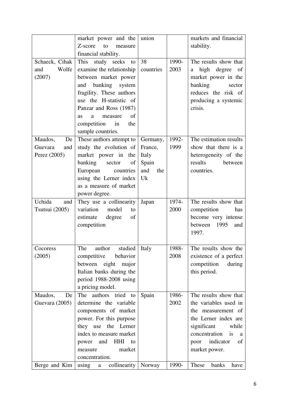|                  | market power and the                           | union      |       | markets and financial    |
|------------------|------------------------------------------------|------------|-------|--------------------------|
|                  | Z-score<br>to<br>measure                       |            |       | stability.               |
|                  | financial stability.                           |            |       |                          |
|                  |                                                |            |       |                          |
| Schaeck, Cihak   | study seeks<br>This<br>to                      | 38         | 1990- | The results show that    |
| Wolfe<br>and     | examine the relationship                       | countries  | 2003  | high degree of<br>a      |
| (2007)           | between market power                           |            |       | market power in the      |
|                  | banking system<br>and                          |            |       | banking<br>sector        |
|                  | fragility. These authors                       |            |       | reduces the risk of      |
|                  | use the H-statistic of                         |            |       | producing a systemic     |
|                  | Panzar and Ross (1987)                         |            |       | crisis.                  |
|                  | of<br>a<br>measure<br><b>as</b>                |            |       |                          |
|                  | competition in<br>the                          |            |       |                          |
|                  | sample countries.                              |            |       |                          |
| Maudos,<br>De    | These authors attempt to                       | Germany,   | 1992- | The estimation results   |
| Guevara<br>and   | study the evolution of                         | France,    | 1999  | show that there is a     |
| Perez (2005)     | market power in the                            | Italy      |       | heterogeneity of the     |
|                  | banking<br>sector<br>of                        | Spain      |       | results<br>between       |
|                  | European<br>countries                          | and<br>the |       | countries.               |
|                  | using the Lerner index                         | Uk         |       |                          |
|                  | as a measure of market                         |            |       |                          |
|                  | power degree.                                  |            |       |                          |
| Uchida           |                                                |            | 1974- | The results show that    |
| and              | They use a collinearity<br>variation           | Japan      |       |                          |
| Tsutsui $(2005)$ | model<br>to                                    |            | 2000  | competition<br>has       |
|                  | of<br>estimate<br>degree                       |            |       | become very intense      |
|                  | competition                                    |            |       | between 1995<br>and      |
|                  |                                                |            |       | 1997.                    |
|                  |                                                |            |       |                          |
| Cocoress         | The<br>studied<br>author                       | Italy      | 1988- | The results show the     |
| (2005)           | behavior<br>competitive                        |            | 2008  | existence of a perfect   |
|                  | between eight<br>major                         |            |       | competition<br>during    |
|                  | Italian banks during the                       |            |       | this period.             |
|                  | period $1988-2008$ using                       |            |       |                          |
|                  | a pricing model.                               |            |       |                          |
| Maudos,<br>De    | authors tried to<br>The                        | Spain      | 1986- | The results show that    |
| Guevara $(2005)$ | determine the variable                         |            | 2002  | the variables used in    |
|                  | components of market                           |            |       | the measurement of       |
|                  | power. For this purpose                        |            |       | the Lerner index are     |
|                  | they use the Lerner                            |            |       | significant<br>while     |
|                  | index to measure market                        |            |       | concentration<br>is<br>a |
|                  | HHI<br>and<br>power<br>to                      |            |       | indicator<br>of<br>poor  |
|                  | market<br>measure                              |            |       | market power.            |
|                  | concentration.                                 |            |       |                          |
| Berge and Kim    | collinearity   Norway<br>using<br>$\mathbf{a}$ |            | 1990- | These<br>banks<br>have   |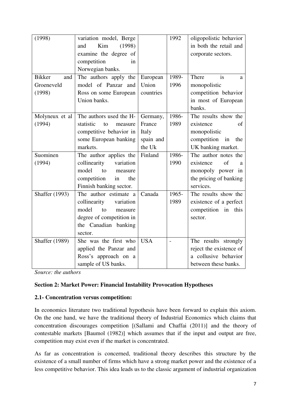| (1998)                | variation model, Berge     |            | 1992           | oligopolistic behavior   |
|-----------------------|----------------------------|------------|----------------|--------------------------|
|                       | Kim<br>(1998)<br>and       |            |                | in both the retail and   |
|                       | examine the degree of      |            |                | corporate sectors.       |
|                       | competition<br>in          |            |                |                          |
|                       | Norwegian banks.           |            |                |                          |
| <b>Bikker</b><br>and  | The authors apply the      | European   | 1989-          | There<br>is<br>a         |
| Groeneveld            | model of Panzar and        | Union      | 1996           | monopolistic             |
| (1998)                | Ross on some European      | countries  |                | competition behavior     |
|                       | Union banks.               |            |                | in most of European      |
|                       |                            |            |                | banks.                   |
| Molyneux et al        | The authors used the H-    | Germany,   | 1986-          | The results show the     |
| (1994)                | statistic<br>to<br>measure | France     | 1989           | existence<br>of          |
|                       | competitive behavior in    | Italy      |                | monopolistic             |
|                       | some European banking      | spain and  |                | competition<br>in<br>the |
|                       | markets.                   | the Uk     |                | UK banking market.       |
| Suominen              | The author applies the     | Finland    | 1986-          | The author notes the     |
| (1994)                | collinearity<br>variation  |            | 1990           | existence<br>of<br>a     |
|                       | model<br>to<br>measure     |            |                | monopoly power in        |
|                       | competition<br>in<br>the   |            |                | the pricing of banking   |
|                       | Finnish banking sector.    |            |                | services.                |
| <b>Shaffer</b> (1993) | The author estimate a      | Canada     | 1965-          | The results show the     |
|                       | collinearity<br>variation  |            | 1989           | existence of a perfect   |
|                       | model<br>to<br>measure     |            |                | competition in<br>this   |
|                       | degree of competition in   |            |                | sector.                  |
|                       | the Canadian banking       |            |                |                          |
|                       | sector.                    |            |                |                          |
| <b>Shaffer</b> (1989) | She was the first who      | <b>USA</b> | $\overline{a}$ | The results strongly     |
|                       | applied the Panzar and     |            |                | reject the existence of  |
|                       | Ross's approach on a       |            |                | a collusive behavior     |
|                       | sample of US banks.        |            |                | between these banks.     |

*Source: the authors* 

## **Section 2: Market Power: Financial Instability Provocation Hypotheses**

#### **2.1- Concentration versus competition:**

In economics literature two traditional hypothesis have been forward to explain this axiom. On the one hand, we have the traditional theory of Industrial Economics which claims that concentration discourages competition [(Sallami and Chaffai (2011)] and the theory of contestable markets [Baumol (1982)] which assumes that if the input and output are free, competition may exist even if the market is concentrated.

As far as concentration is concerned, traditional theory describes this structure by the existence of a small number of firms which have a strong market power and the existence of a less competitive behavior. This idea leads us to the classic argument of industrial organization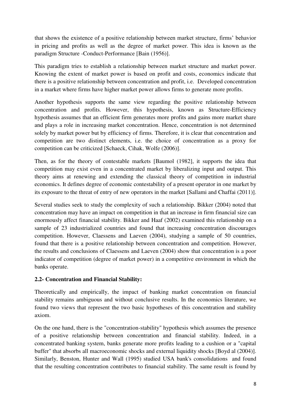that shows the existence of a positive relationship between market structure, firms' behavior in pricing and profits as well as the degree of market power. This idea is known as the paradigm Structure -Conduct-Performance [Bain (1956)].

This paradigm tries to establish a relationship between market structure and market power. Knowing the extent of market power is based on profit and costs, economics indicate that there is a positive relationship between concentration and profit, i.e. Developed concentration in a market where firms have higher market power allows firms to generate more profits.

Another hypothesis supports the same view regarding the positive relationship between concentration and profits. However, this hypothesis, known as Structure-Efficiency hypothesis assumes that an efficient firm generates more profits and gains more market share and plays a role in increasing market concentration. Hence, concentration is not determined solely by market power but by efficiency of firms. Therefore, it is clear that concentration and competition are two distinct elements, i.e. the choice of concentration as a proxy for competition can be criticized [Schaeck, Cihak, Wolfe (2006)].

Then, as for the theory of contestable markets [Baumol (1982], it supports the idea that competition may exist even in a concentrated market by liberalizing input and output. This theory aims at renewing and extending the classical theory of competition in industrial economics. It defines degree of economic contestability of a present operator in one market by its exposure to the threat of entry of new operators in the market [Sallami and Chaffai (2011)].

Several studies seek to study the complexity of such a relationship. Bikker (2004) noted that concentration may have an impact on competition in that an increase in firm financial size can enormously affect financial stability. Bikker and Haaf (2002) examined this relationship on a sample of 23 industrialized countries and found that increasing concentration discourages competition. However, Claessens and Laeven (2004), studying a sample of 50 countries, found that there is a positive relationship between concentration and competition. However, the results and conclusions of Claessens and Laeven (2004) show that concentration is a poor indicator of competition (degree of market power) in a competitive environment in which the banks operate.

# **2.2- Concentration and Financial Stability:**

Theoretically and empirically, the impact of banking market concentration on financial stability remains ambiguous and without conclusive results. In the economics literature, we found two views that represent the two basic hypotheses of this concentration and stability axiom.

On the one hand, there is the "concentration-stability" hypothesis which assumes the presence of a positive relationship between concentration and financial stability. Indeed, in a concentrated banking system, banks generate more profits leading to a cushion or a "capital buffer" that absorbs all macroeconomic shocks and external liquidity shocks [Boyd al (2004)]. Similarly, Benston, Hunter and Wall (1995) studied USA bank's consolidations and found that the resulting concentration contributes to financial stability. The same result is found by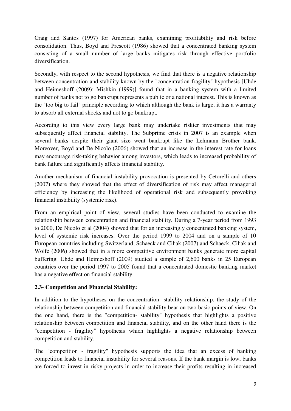Craig and Santos (1997) for American banks, examining profitability and risk before consolidation. Thus, Boyd and Prescott (1986) showed that a concentrated banking system consisting of a small number of large banks mitigates risk through effective portfolio diversification.

Secondly, with respect to the second hypothesis, we find that there is a negative relationship between concentration and stability known by the "concentration-fragility" hypothesis [Uhde and Heimeshoff (2009); Mishkin (1999)] found that in a banking system with a limited number of banks not to go bankrupt represents a public or a national interest. This is known as the "too big to fail" principle according to which although the bank is large, it has a warranty to absorb all external shocks and not to go bankrupt.

According to this view every large bank may undertake riskier investments that may subsequently affect financial stability. The Subprime crisis in 2007 is an example when several banks despite their giant size went bankrupt like the Lehmann Brother bank. Moreover, Boyd and De Nicolo (2006) showed that an increase in the interest rate for loans may encourage risk-taking behavior among investors, which leads to increased probability of bank failure and significantly affects financial stability.

Another mechanism of financial instability provocation is presented by Cetorelli and others (2007) where they showed that the effect of diversification of risk may affect managerial efficiency by increasing the likelihood of operational risk and subsequently provoking financial instability (systemic risk).

From an empirical point of view, several studies have been conducted to examine the relationship between concentration and financial stability. During a 7-year period from 1993 to 2000, De Nicolo et al (2004) showed that for an increasingly concentrated banking system, level of systemic risk increases. Over the period 1999 to 2004 and on a sample of 10 European countries including Switzerland, Schaeck and Cihak (2007) and Schaeck, Cihak and Wolfe (2006) showed that in a more competitive environment banks generate more capital buffering. Uhde and Heimeshoff (2009) studied a sample of 2,600 banks in 25 European countries over the period 1997 to 2005 found that a concentrated domestic banking market has a negative effect on financial stability.

## **2.3- Competition and Financial Stability:**

In addition to the hypotheses on the concentration -stability relationship, the study of the relationship between competition and financial stability bear on two basic points of view. On the one hand, there is the "competition- stability" hypothesis that highlights a positive relationship between competition and financial stability, and on the other hand there is the "competition - fragility" hypothesis which highlights a negative relationship between competition and stability.

The "competition - fragility" hypothesis supports the idea that an excess of banking competition leads to financial instability for several reasons. If the bank margin is low, banks are forced to invest in risky projects in order to increase their profits resulting in increased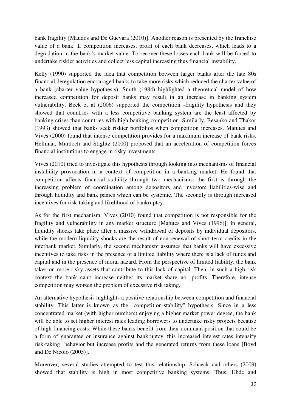bank fragility [Maudos and De Guevara (2010)]. Another reason is presented by the franchise value of a bank. If competition increases, profit of each bank decreases, which leads to a degradation in the bank's market value. To recover these losses each bank will be forced to undertake riskier activities and collect less capital increasing thus financial instability.

Kelly (1990) supported the idea that competition between larger banks after the late 80s financial deregulation encouraged banks to take more risks which reduced the charter value of a bank (charter value hypothesis). Smith (1984) highlighted a theoretical model of how increased competition for deposit banks may result in an increase in banking system vulnerability. Beck et al (2006) supported the competition -fragility hypothesis and they showed that countries with a less competitive banking system are the least affected by banking crises than countries with high banking competition. Similarly, Besanko and Thakor (1993) showed that banks seek riskier portfolios when competition increases. Matutes and Vives (2000) found that intense competition provides for a maximum increase of bank risks. Hellman, Murdoch and Stiglitz (2000) proposed that an acceleration of competition forces financial institutions to engage in risky investments.

Vives (2010) tried to investigate this hypothesis through looking into mechanisms of financial instability provocation in a context of competition in a banking market. He found that competition affects financial stability through two mechanisms: the first is through the increasing problem of coordination among depositors and investors liabilities-wise and through liquidity and bank panics which can be systemic. The secondly is through increased incentives for risk-taking and likelihood of bankruptcy.

As for the first mechanism, Vives (2010) found that competition is not responsible for the fragility and vulnerability in any market structure [Matutes and Vives (1996)]. In general, liquidity shocks take place after a massive withdrawal of deposits by individual depositors, while the modern liquidity shocks are the result of non-renewal of short-term credits in the interbank market. Similarly, the second mechanism assumes that banks will have excessive incentives to take risks in the presence of a limited liability where there is a lack of funds and capital and in the presence of moral hazard. From the perspective of limited liability, the bank takes on more risky assets that contribute to this lack of capital. Then, in such a high risk context the bank can't increase neither its market share nor profits. Therefore, intense competition may worsen the problem of excessive risk taking.

An alternative hypothesis highlights a positive relationship between competition and financial stability. This latter is known as the "competition-stability" hypothesis. Since in a less concentrated market (with higher numbers) enjoying a higher market power degree, the bank will be able to set higher interest rates leading borrowers to undertake risky projects because of high financing costs. While these banks benefit from their dominant position that could be a form of guarantee or insurance against bankruptcy, this increased interest rates intensify risk-taking behavior but increase profits and the generated returns from these loans [Boyd and De Nicolo (2005)].

Moreover, several studies attempted to test this relationship. Schaeck and others (2009) showed that stability is high in most competitive banking systems. Thus, Uhde and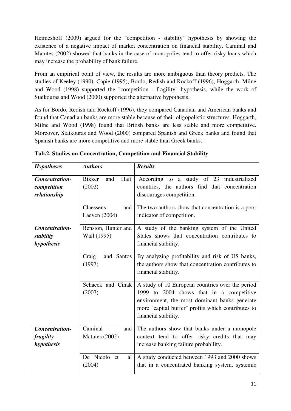Heimeshoff (2009) argued for the "competition - stability" hypothesis by showing the existence of a negative impact of market concentration on financial stability. Caminal and Matutes (2002) showed that banks in the case of monopolies tend to offer risky loans which may increase the probability of bank failure.

From an empirical point of view, the results are more ambiguous than theory predicts. The studies of Keeley (1990), Capie (1995), Bordo, Redish and Rockoff (1996), Hoggarth, Milne and Wood (1998) supported the "competition - fragility" hypothesis, while the work of Staikouras and Wood (2000) supported the alternative hypothesis.

As for Bordo, Redish and Rockoff (1996), they compared Canadian and American banks and found that Canadian banks are more stable because of their oligopolistic structures. Hoggarth, Milne and Wood (1998) found that British banks are less stable and more competitive. Moreover, Staikouras and Wood (2000) compared Spanish and Greek banks and found that Spanish banks are more competitive and more stable than Greek banks.

| <b>Hypotheses</b>                             | <b>Authors</b>                         | <b>Results</b>                                                                                                                                                                                                              |
|-----------------------------------------------|----------------------------------------|-----------------------------------------------------------------------------------------------------------------------------------------------------------------------------------------------------------------------------|
| Concentration-<br>competition<br>relationship | Haff<br><b>Bikker</b><br>and<br>(2002) | According to a study of 23 industrialized<br>countries, the authors find that concentration<br>discourages competition.                                                                                                     |
|                                               | Claessens<br>and<br>Laeven $(2004)$    | The two authors show that concentration is a poor<br>indicator of competition.                                                                                                                                              |
| Concentration-<br>stability<br>hypothesis     | Benston, Hunter and<br>Wall (1995)     | A study of the banking system of the United<br>States shows that concentration contributes to<br>financial stability.                                                                                                       |
|                                               | Craig<br>and Santos<br>(1997)          | By analyzing profitability and risk of US banks,<br>the authors show that concentration contributes to<br>financial stability.                                                                                              |
|                                               | Schaeck and Cihak<br>(2007)            | A study of 10 European countries over the period<br>1999 to 2004 shows that in a competitive<br>environment, the most dominant banks generate<br>more "capital buffer" profits which contributes to<br>financial stability. |
| Concentration-<br>fragility<br>hypothesis     | Caminal<br>and<br>Matutes (2002)       | The authors show that banks under a monopole<br>context tend to offer risky credits that may<br>increase banking failure probability.                                                                                       |
|                                               | De Nicolo et<br>al<br>(2004)           | A study conducted between 1993 and 2000 shows<br>that in a concentrated banking system, systemic                                                                                                                            |

**Tab.2. Studies on Concentration, Competition and Financial Stability**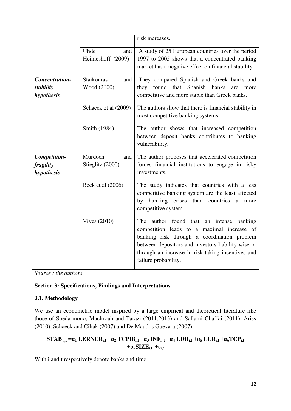|                                           |                                         | risk increases.                                                                                                                                                                                                                                                          |
|-------------------------------------------|-----------------------------------------|--------------------------------------------------------------------------------------------------------------------------------------------------------------------------------------------------------------------------------------------------------------------------|
|                                           | Uhde<br>and<br>Heimeshoff (2009)        | A study of 25 European countries over the period<br>1997 to 2005 shows that a concentrated banking<br>market has a negative effect on financial stability.                                                                                                               |
| Concentration-<br>stability<br>hypothesis | <b>Staikouras</b><br>and<br>Wood (2000) | They compared Spanish and Greek banks and<br>they found that<br>Spanish banks<br>are<br>more<br>competitive and more stable than Greek banks.                                                                                                                            |
|                                           | Schaeck et al (2009)                    | The authors show that there is financial stability in<br>most competitive banking systems.                                                                                                                                                                               |
|                                           | Smith (1984)                            | The author shows that increased competition<br>between deposit banks contributes to banking<br>vulnerability.                                                                                                                                                            |
| Competition-<br>fragility<br>hypothesis   | Murdoch<br>and<br>Stieglitz (2000)      | The author proposes that accelerated competition<br>forces financial institutions to engage in risky<br>investments.                                                                                                                                                     |
|                                           | Beck et al (2006)                       | The study indicates that countries with a less<br>competitive banking system are the least affected<br>by banking crises than countries<br>a<br>more<br>competitive system.                                                                                              |
|                                           | Vives $(2010)$                          | The author found that an intense banking<br>competition leads to a maximal increase of<br>banking risk through a coordination problem<br>between depositors and investors liability-wise or<br>through an increase in risk-taking incentives and<br>failure probability. |

*Source : the authors* 

## **Section 3: Specifications, Findings and Interpretations**

## **3.1. Methodology**

We use an econometric model inspired by a large empirical and theoretical literature like those of Soedarmono, Machrouh and Tarazi (2011.2013) and Sallami Chaffai (2011), Ariss (2010), Schaeck and Cihak (2007) and De Maudos Guevara (2007).

$$
\begin{aligned}\nSTAB_{i,t}=&\alpha_1 \, LERNER_{i,t} + \alpha_2 \, TCPIB_{i,t} + \alpha_3 \, INF_{i,t} + \alpha_4 \, LDR_{i,t} + \alpha_5 \, LLR_{i,t} + \alpha_6 TCP_{i,t} \\
&+ \alpha_7 SIZE_{i,t} + \epsilon_{i,t}\n\end{aligned}
$$

With i and t respectively denote banks and time.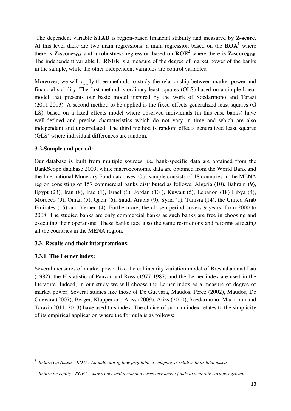The dependent variable **STAB** is region-based financial stability and measured by **Z-score**. At this level there are two main regressions; a main regression based on the  $\text{ROA}^1$  where there is **Z-score**<sub>ROA</sub> and a robustness regression based on  $ROE<sup>2</sup>$  where there is **Z-score**<sub>ROE</sub>. The independent variable LERNER is a measure of the degree of market power of the banks in the sample, while the other independent variables are control variables.

Moreover, we will apply three methods to study the relationship between market power and financial stability. The first method is ordinary least squares (OLS) based on a simple linear model that presents our basic model inspired by the work of Soedarmono and Tarazi (2011.2013). A second method to be applied is the fixed-effects generalized least squares (G LS), based on a fixed effects model where observed individuals (in this case banks) have well-defined and precise characteristics which do not vary in time and which are also independent and uncorrelated. The third method is random effects generalized least squares (GLS) where individual differences are random.

## **3.2-Sample and period:**

Our database is built from multiple sources, i.e. bank-specific data are obtained from the BankScope database 2009, while macroeconomic data are obtained from the World Bank and the International Monetary Fund databases. Our sample consists of 18 countries in the MENA region consisting of 157 commercial banks distributed as follows: Algeria (10), Bahrain (9), Egypt (23), Iran (8), Iraq (1), Israel (6), Jordan (10 ), Kuwait (5), Lebanon (18) Libya (4), Morocco (9), Oman (5), Qatar (6), Saudi Arabia (9), Syria (1), Tunisia (14), the United Arab Emirates (15) and Yemen (4). Furthermore, the chosen period covers 9 years, from 2000 to 2008. The studied banks are only commercial banks as such banks are free in choosing and executing their operations. These banks face also the same restrictions and reforms affecting all the countries in the MENA region.

# **3.3: Results and their interpretations:**

# **3.3.1. The Lerner index:**

<u>.</u>

Several measures of market power like the collinearity variation model of Bresnahan and Lau (1982), the H-statistic of Panzar and Ross (1977-1987) and the Lerner index are used in the literature. Indeed, in our study we will choose the Lerner index as a measure of degree of market power. Several studies like those of De Guevara, Maudos, Pérez (2002), Maudos, De Guevara (2007); Berger, Klapper and Ariss (2009), Ariss (2010), Soedarmono, Machrouh and Tarazi (2011, 2013) have used this index. The choice of such an index relates to the simplicity of its empirical application where the formula is as follows:

*<sup>1</sup> 'Return On Assets - ROA' : An indicator of how profitable a company is relative to its total assets* 

*<sup>2</sup> 'Return on equity - ROE ': shows how well a company uses investment funds to generate earnings growth.*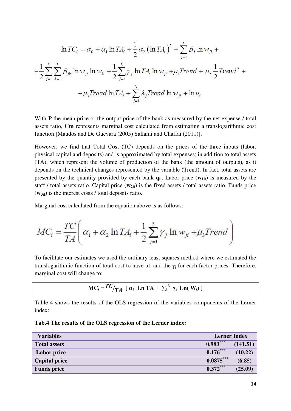$$
\ln TC_i = \alpha_0 + \alpha_1 \ln TA_i + \frac{1}{2} \alpha_2 (\ln TA_i)^2 + \sum_{j=1}^3 \beta_j \ln w_{ji} +
$$
  
+  $\frac{1}{2} \sum_{j=1}^3 \sum_{k=1}^3 \beta_{jk} \ln w_{ji} \ln w_{ki} + \frac{1}{2} \sum_{j=1}^3 \gamma_j \ln TA_i \ln w_{ji} + \mu_1 Trend + \mu_2 \frac{1}{2} Trend^2 +$   
+  $\mu_3 Trend \ln TA_i + \sum_{j=1}^3 \lambda_j Trend \ln w_{ji} + \ln u_i$ 

With **P** the mean price or the output price of the bank as measured by the net expense / total assets ratio, **Cm** represents marginal cost calculated from estimating a translogarithmic cost function [Maudos and De Guevara (2005) Sallami and Chaffai (2011)].

However, we find that Total Cost (TC) depends on the prices of the three inputs (labor, physical capital and deposits) and is approximated by total expenses; in addition to total assets (TA), which represent the volume of production of the bank (the amount of outputs), as it depends on the technical changes represented by the variable (Trend). In fact, total assets are presented by the quantity provided by each bank **qit**. Labor price (**w1it**) is measured by the staff / total assets ratio. Capital price ( $w_{2it}$ ) is the fixed assets / total assets ratio. Funds price (**w3it**) is the interest costs / total deposits ratio.

Marginal cost calculated from the equation above is as follows:

$$
MC_i = \frac{TC}{TA} \left( \alpha_1 + \alpha_2 \ln TA_i + \frac{1}{2} \sum_{j=1}^3 \gamma_j \ln w_{ji} + \mu_3 Trend \right)
$$

To facilitate our estimates we used the ordinary least squares method where we estimated the translogarithmic function of total cost to have  $\alpha$ 1 and the  $\gamma_j$  for each factor prices. Therefore, marginal cost will change to:

$$
MC_i = \frac{TC}{TA} \left[ \alpha_1 \text{ Ln TA} + \sum_i^3 \gamma_i \text{ Ln} (W_i) \right]
$$

Table 4 shows the results of the OLS regression of the variables components of the Lerner index:

|  | <b>Tab.4 The results of the OLS regression of the Leriter muex:</b> |
|--|---------------------------------------------------------------------|
|  |                                                                     |

**Tab.4 The results of the OLS regression of the Lerner index:** 

| <b>Variables</b>     | <b>Lerner Index</b>    |          |
|----------------------|------------------------|----------|
| <b>Total assets</b>  | $0.983***$             | (141.51) |
| <b>Labor price</b>   | $\overline{0.176}$ *** | (10.22)  |
| <b>Capital price</b> | $0.0875***$            | (6.85)   |
| <b>Funds price</b>   | $0.372***$             | (25.09)  |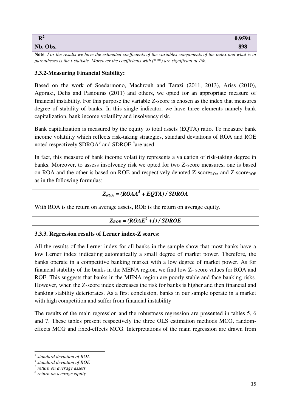| $\mathbf{R}^2$ | 0.0501 |
|----------------|--------|
| Nb. Obs.       | 898    |

**Note**: *For the results we have the estimated coefficients of the variables components of the index and what is in parentheses is the t-statistic. Moreover the coefficients with (\*\*\*) are significant at 1%.*

#### **3.3.2-Measuring Financial Stability:**

Based on the work of Soedarmono, Machrouh and Tarazi (2011, 2013), Ariss (2010), Agoraki, Delis and Pasiouras (2011) and others, we opted for an appropriate measure of financial instability. For this purpose the variable Z-score is chosen as the index that measures degree of stability of banks. In this single indicator, we have three elements namely bank capitalization, bank income volatility and insolvency risk.

Bank capitalization is measured by the equity to total assets (EQTA) ratio. To measure bank income volatility which reflects risk-taking strategies, standard deviations of ROA and ROE noted respectively SDROA<sup>3</sup> and SDROE<sup>4</sup> are used.

In fact, this measure of bank income volatility represents a valuation of risk-taking degree in banks. Moreover, to assess insolvency risk we opted for two Z-score measures, one is based on ROA and the other is based on ROE and respectively denoted Z-score<sub>ROA</sub> and Z-score<sub>ROE</sub> as in the following formulas:

# $Z_{ROA} = (ROAA<sup>5</sup> + EQTA) / SDROA$

With ROA is the return on average assets, ROE is the return on average equity.

# $Z_{ROE} = (ROAE^6 + I) / SDROE$

## **3.3.3. Regression results of Lerner index-Z scores:**

All the results of the Lerner index for all banks in the sample show that most banks have a low Lerner index indicating automatically a small degree of market power. Therefore, the banks operate in a competitive banking market with a low degree of market power. As for financial stability of the banks in the MENA region, we find low Z- score values for ROA and ROE. This suggests that banks in the MENA region are poorly stable and face banking risks. However, when the Z-score index decreases the risk for banks is higher and then financial and banking stability deteriorates. As a first conclusion, banks in our sample operate in a market with high competition and suffer from financial instability

The results of the main regression and the robustness regression are presented in tables 5, 6 and 7. These tables present respectively the three OLS estimation methods MCO, randomeffects MCG and fixed-effects MCG. Interpretations of the main regression are drawn from

-

*<sup>3</sup> standard deviation of ROA* 

*<sup>4</sup> standard deviation of ROE* 

*<sup>5</sup> return on average assets* 

*<sup>6</sup> return on average equity*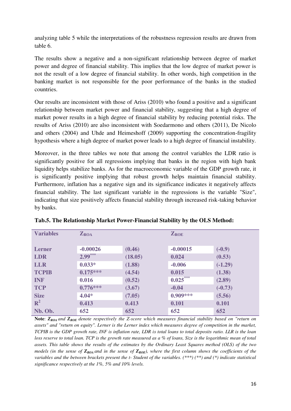analyzing table 5 while the interpretations of the robustness regression results are drawn from table 6.

The results show a negative and a non-significant relationship between degree of market power and degree of financial stability. This implies that the low degree of market power is not the result of a low degree of financial stability. In other words, high competition in the banking market is not responsible for the poor performance of the banks in the studied countries.

Our results are inconsistent with those of Ariss (2010) who found a positive and a significant relationship between market power and financial stability, suggesting that a high degree of market power results in a high degree of financial stability by reducing potential risks. The results of Ariss (2010) are also inconsistent with Soedarmono and others (2011), De Nicolo and others (2004) and Uhde and Heimeshoff (2009) supporting the concentration-fragility hypothesis where a high degree of market power leads to a high degree of financial instability.

Moreover, in the three tables we note that among the control variables the LDR ratio is significantly positive for all regressions implying that banks in the region with high bank liquidity helps stabilize banks. As for the macroeconomic variable of the GDP growth rate, it is significantly positive implying that robust growth helps maintain financial stability. Furthermore, inflation has a negative sign and its significance indicates it negatively affects financial stability. The last significant variable in the regressions is the variable "Size", indicating that size positively affects financial stability through increased risk-taking behavior by banks.

| <b>Variables</b> | $\mathbf{Z}_{\text{ROA}}$ |         | $Z_{ROE}$  |           |
|------------------|---------------------------|---------|------------|-----------|
|                  |                           |         |            |           |
|                  |                           |         |            |           |
| <b>Lerner</b>    | $-0.00026$                | (0.46)  | $-0.00015$ | $(-0.9)$  |
| <b>LDR</b>       | $2.99***$                 | (18.05) | 0.024      | (0.53)    |
| <b>LLR</b>       | $0.033*$                  | (1.88)  | $-0.006$   | $(-1.29)$ |
| <b>TCPIB</b>     | $0.175***$                | (4.54)  | 0.015      | (1.38)    |
| <b>INF</b>       | 0.016                     | (0.52)  | $0.025***$ | (2.89)    |
| <b>TCP</b>       | $0.776***$                | (3.67)  | $-0.04$    | $(-0.73)$ |
| <b>Size</b>      | $4.04*$                   | (7.05)  | $0.909***$ | (5.56)    |
| $R^2$            | 0.413                     | 0.413   | 0.101      | 0.101     |
| Nb. Ob.          | 652                       | 652     | 652        | 652       |

|  |  |  |  | Tab.5. The Relationship Market Power-Financial Stability by the OLS Method: |
|--|--|--|--|-----------------------------------------------------------------------------|
|  |  |  |  |                                                                             |

**Note**: *ZROA and ZROE denote respectively the Z-score which measures financial stability based on "return on assets" and "return on equity". Lerner is the Lerner index which measures degree of competition in the market, TCPIB is the GDP growth rate, INF is inflation rate, LDR is total loans to total deposits ratio. LLR is the loan loss reserve to total loan. TCP is the growth rate measured as a % of loans, Size is the logarithmic mean of total assets. This table shows the results of the estimates by the Ordinary Least Squares method (OLS) of the two models (in the sense of*  $Z_{ROA}$  *and in the sense of*  $Z_{ROE}$ *), where the first column shows the coefficients of the variables and the between brackets present the t- Student of the variables. (\*\*\*) (\*\*) and (\*) indicate statistical significance respectively at the 1%, 5% and 10% levels.*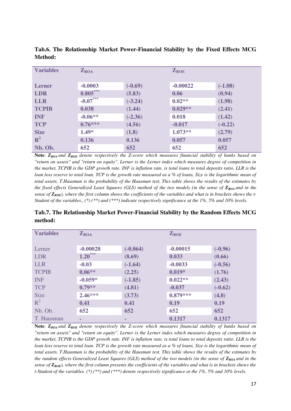| <b>Variables</b> | $Z_{ROA}$  |           | $Z_{ROE}$  |           |
|------------------|------------|-----------|------------|-----------|
| <b>Lerner</b>    | $-0.0003$  | $(-0.69)$ | $-0.00022$ | $(-1.08)$ |
| <b>LDR</b>       | $0.805***$ | (5.83)    | 0.06       | (0.94)    |
| <b>LLR</b>       | $-0.07***$ | $(-3.24)$ | $0.02**$   | (1.98)    |
| <b>TCPIB</b>     | 0.038      | (1.44)    | $0.029**$  | (2.41)    |
| <b>INF</b>       | $-0.06**$  | $(-2.36)$ | 0.018      | (1.42)    |
| <b>TCP</b>       | $0.76***$  | (4.56)    | $-0.017$   | $(-0.22)$ |
| <b>Size</b>      | $1.49*$    | (1.8)     | $1.073**$  | (2.79)    |
| $\mathbb{R}^2$   | 0.136      | 0.136     | 0.057      | 0.057     |
| Nb. Ob.          | 652        | 652       | 652        | 652       |

**Tab.6. The Relationship Market Power-Financial Stability by the Fixed Effects MCG Method:** 

**Note**: *ZROA and ZROE denote respectively the Z-score which measures financial stability of banks based on "return on assets" and "return on equity". Lerner is the Lerner index which measures degree of competition in the market, TCPIB is the GDP growth rate. INF is inflation rate, is total loans to total deposits ratio. LLR is the loan loss reserve to total loan. TCP is the growth rate measured as a % of loans, Size is the logarithmic mean of total assets, T.Hausman is the probability of the Hausman test. This table shows the results of the estimates by the fixed effects Generalized Least Squares (GLS) method of the two models (in the sense of*  $Z_{ROA}$  *and in the sense of ZROE), where the first column shows the coefficients of the variables and what is in brackets shows the t-Student of the variables., (\*) (\*\*) and (\*\*\*) indicate respectively significance at the 1%, 5% and 10% levels.* 

| Tab.7. The Relationship Market Power-Financial Stability by the Random Effects MCG |  |
|------------------------------------------------------------------------------------|--|
| method:                                                                            |  |

| <b>Variables</b> | $Z_{ROA}$  |            | $Z_{ROE}$  |           |
|------------------|------------|------------|------------|-----------|
| Lerner           | $-0.00028$ | $(-0.064)$ | $-0.00015$ | $(-0.96)$ |
| <b>LDR</b>       | $1.20***$  | (8.69)     | 0.033      | (0.66)    |
| <b>LLR</b>       | $-0.03$    | $(-1.64)$  | $-0.0033$  | $(-0.56)$ |
| <b>TCPIB</b>     | $0.06**$   | (2.25)     | $0.019*$   | (1.76)    |
| <b>INF</b>       | $-0.059*$  | $(-1.85)$  | $0.022**$  | (2.43)    |
| <b>TCP</b>       | $0.79**$   | (4.81)     | $-0.037$   | $(-0.62)$ |
| <b>Size</b>      | $2.46***$  | (3.73)     | $0.879***$ | (4.8)     |
| $R^2$            | 0.41       | 0.41       | 0.19       | 0.19      |
| Nb. Ob.          | 652        | 652        | 652        | 652       |
| T. Hausman       | -          | ۰          | 0.1317     | 0.1317    |

**Note**: *ZROA and ZROE denote respectively the Z-score which measures financial stability of banks based on "return on assets" and "return on equity". Lerner is the Lerner index which measures degree of competition in the market, TCPIB is the GDP growth rate. INF is inflation rate, is total loans to total deposits ratio. LLR is the loan loss reserve to total loan. TCP is the growth rate measured as a % of loans, Size is the logarithmic mean of total assets, T.Hausman is the probability of the Hausman test. This table shows the results of the estimates by the random effects Generalized Least Squares (GLS) method of the two models (in the sense of*  $Z_{ROA}$  *and in the sense of ZROE), where the first column presents the coefficients of the variables and what is in brackets shows the t-Student of the variables. (\*) (\*\*) and (\*\*\*) denote respectively significance at the 1%, 5% and 10% levels.*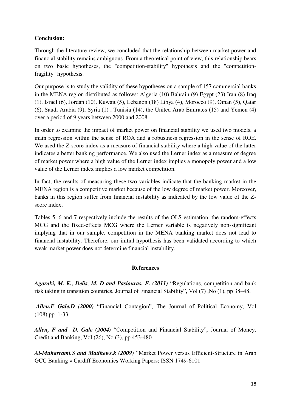## **Conclusion:**

Through the literature review, we concluded that the relationship between market power and financial stability remains ambiguous. From a theoretical point of view, this relationship bears on two basic hypotheses, the "competition-stability" hypothesis and the "competitionfragility" hypothesis.

Our purpose is to study the validity of these hypotheses on a sample of 157 commercial banks in the MENA region distributed as follows: Algeria (10) Bahrain (9) Egypt (23) Iran (8) Iraq (1), Israel (6), Jordan (10), Kuwait (5), Lebanon (18) Libya (4), Morocco (9), Oman (5), Qatar (6), Saudi Arabia (9), Syria (1) , Tunisia (14), the United Arab Emirates (15) and Yemen (4) over a period of 9 years between 2000 and 2008.

In order to examine the impact of market power on financial stability we used two models, a main regression within the sense of ROA and a robustness regression in the sense of ROE. We used the Z-score index as a measure of financial stability where a high value of the latter indicates a better banking performance. We also used the Lerner index as a measure of degree of market power where a high value of the Lerner index implies a monopoly power and a low value of the Lerner index implies a low market competition.

In fact, the results of measuring these two variables indicate that the banking market in the MENA region is a competitive market because of the low degree of market power. Moreover, banks in this region suffer from financial instability as indicated by the low value of the Zscore index.

Tables 5, 6 and 7 respectively include the results of the OLS estimation, the random-effects MCG and the fixed-effects MCG where the Lerner variable is negatively non-significant implying that in our sample, competition in the MENA banking market does not lead to financial instability. Therefore, our initial hypothesis has been validated according to which weak market power does not determine financial instability.

## **References**

*Agoraki, M. K., Delis, M. D and Pasiouras, F. (2011)* "Regulations, competition and bank risk taking in transition countries. Journal of Financial Stability", Vol (7) ,No (1), pp 38–48.

*Allen.F Gale.D (2000)* "Financial Contagion", The Journal of Political Economy, Vol (108),pp. 1-33.

*Allen, F and D. Gale (2004)* "Competition and Financial Stability", Journal of Money, Credit and Banking, Vol (26), No (3), pp 453-480.

*Al-Muharrami.S and Matthews.k (2009)* "Market Power versus Efficient-Structure in Arab GCC Banking » Cardiff Economics Working Papers; ISSN 1749-6101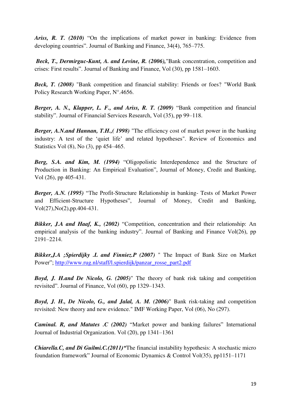*Ariss, R. T. (2010)* "On the implications of market power in banking: Evidence from developing countries". Journal of Banking and Finance, 34(4), 765–775.

*Beck, T., Dermirguc-Kunt, A. and Levine, R. (2006),*"Bank concentration, competition and crises: First results". Journal of Banking and Finance, Vol (30), pp 1581–1603.

*Beck, T. (2008)* "Bank competition and financial stability: Friends or foes? "World Bank Policy Research Working Paper, N°.4656.

*Berger, A. N., Klapper, L. F., and Ariss, R. T. (2009)* "Bank competition and financial stability". Journal of Financial Services Research, Vol (35), pp 99–118.

*Berger, A.N.and Hannan, T.H.,( 1998)* "The efficiency cost of market power in the banking industry: A test of the 'quiet life' and related hypotheses". Review of Economics and Statistics Vol (8), No (3), pp 454–465.

*Berg, S.A. and Kim, M. (1994)* "Oligopolistic Interdependence and the Structure of Production in Banking: An Empirical Evaluation", Journal of Money, Credit and Banking, Vol (26), pp 405-431.

*Berger, A.N. (1995)* "The Profit-Structure Relationship in banking- Tests of Market Power and Efficient-Structure Hypotheses", Journal of Money, Credit and Banking, Vol(27),No(2),pp.404-431.

*Bikker, J.A and Haaf, K., (2002)* "Competition, concentration and their relationship: An empirical analysis of the banking industry". Journal of Banking and Finance Vol(26), pp 2191–2214.

*Bikker,J.A ;Spierdijky .L and Finniez.P (2007)* " The Impact of Bank Size on Market Power"; [http://www.rug.nl/staff/l.spierdijk/panzar\\_rosse\\_part2.pdf](http://www.rug.nl/staff/l.spierdijk/panzar_rosse_part2.pdf) 

*Boyd, J. H.and De Nicolo, G. (2005)*" The theory of bank risk taking and competition revisited". Journal of Finance, Vol (60), pp 1329–1343.

*Boyd, J. H., De Nicolo, G., and Jalal, A. M. (2006)*" Bank risk-taking and competition revisited: New theory and new evidence." IMF Working Paper, Vol (06), No (297).

*Caminal. R, and Matutes .C (2002)* "Market power and banking failures" International Journal of Industrial Organization. Vol (20), pp 1341–1361

*Chiarella.C, and Di Guilmi.C.(2011)"*The financial instability hypothesis: A stochastic micro foundation framework" Journal of Economic Dynamics & Control Vol(35), pp1151–1171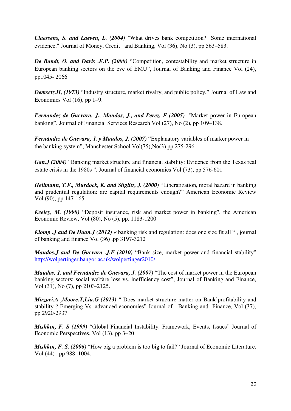*Claessens, S. and Laeven, L. (2004)* "What drives bank competition? Some international evidence." Journal of Money, Credit and Banking, Vol (36), No (3), pp 563–583.

*De Bandt, O. and Davis .E.P. (2000)* "Competition, contestability and market structure in European banking sectors on the eve of EMU", Journal of Banking and Finance Vol (24), pp1045- 2066.

*Demsetz.H, (1973)* "Industry structure, market rivalry, and public policy." Journal of Law and Economics Vol  $(16)$ , pp  $1-9$ .

*Fernandez de Guevara, J., Maudos, J., and Perez, F (2005)* "Market power in European banking". Journal of Financial Services Research Vol (27), No (2), pp 109–138.

*Fernández de Guevara, J. y Maudos, J. (2007)* "Explanatory variables of marker power in the banking system", Manchester School Vol(75),No(3),pp 275-296.

*Gan.J (2004)* "Banking market structure and financial stability: Evidence from the Texas real estate crisis in the 1980s ". Journal of financial economics Vol (73), pp 576-601

*Hellmann, T.F., Murdock, K. and Stiglitz, J. (2000)* "Liberatization, moral hazard in banking and prudential regulation: are capital requirements enough?" American Economic Review Vol (90), pp 147-165.

*Keeley, M. (1990)* "Deposit insurance, risk and market power in banking", the American Economic Review, Vol (80), No (5), pp. 1183-1200

*Klomp J* and *De Haan.J* (2012) « banking risk and regulation: does one size fit all ", journal of banking and finance Vol (36) ,pp 3197-3212

*Maudos.J and De Guevara .J.F (2010)* "Bank size, market power and financial stability" <http://wolpertinger.bangor.ac.uk/wolpertinger2010/>

*Maudos, J. and Fernández de Guevara, J. (2007)* "The cost of market power in the European banking sectors: social welfare loss vs. inefficiency cost", Journal of Banking and Finance, Vol (31), No (7), pp 2103-2125.

*Mirzaei.A ,Moore.T,Liu.G (2013)* " Does market structure matter on Bank'profitability and stability ? Emerging Vs. advanced economies" Journal of Banking and Finance, Vol (37), pp 2920-2937.

*Mishkin, F. S (1999)* "Global Financial Instability: Framework, Events, Issues" Journal of Economic Perspectives, Vol (13), pp 3–20

*Mishkin, F. S. (2006)* "How big a problem is too big to fail?" Journal of Economic Literature, Vol (44) , pp 988–1004.